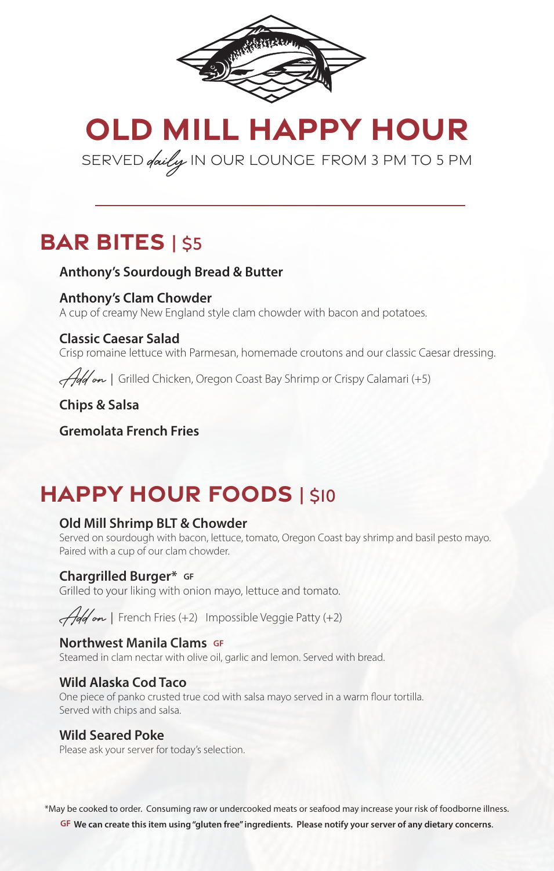

**OLD MILL HAPPY HOUR**

SERVED *daily* IN OUR LOUNGE FROM 3 PM TO 5 PM

## **BAR BITES** | \$5

#### **Anthony's Sourdough Bread & Butter**

#### **Anthony's Clam Chowder**

A cup of creamy New England style clam chowder with bacon and potatoes.

#### **Classic Caesar Salad**

Crisp romaine lettuce with Parmesan, homemade croutons and our classic Caesar dressing.

Add on *|* Grilled Chicken, Oregon Coast Bay Shrimp or Crispy Calamari (+5)

**Chips & Salsa**

**Gremolata French Fries**

# **HAPPY HOUR FOODS | \$10**

#### **Old Mill Shrimp BLT & Chowder**

Served on sourdough with bacon, lettuce, tomato, Oregon Coast bay shrimp and basil pesto mayo. Paired with a cup of our clam chowder.

### **Chargrilled Burger\* GF**

Grilled to your liking with onion mayo, lettuce and tomato.

Add on *|* French Fries (+2) Impossible Veggie Patty (+2)

#### **Northwest Manila Clams GF**

Steamed in clam nectar with olive oil, garlic and lemon. Served with bread.

#### **Wild Alaska Cod Taco**

One piece of panko crusted true cod with salsa mayo served in a warm flour tortilla. Served with chips and salsa.

#### **Wild Seared Poke**

Please ask your server for today's selection.

\*May be cooked to order. Consuming raw or undercooked meats or seafood may increase your risk of foodborne illness. **GF We can create this item using "gluten free" ingredients. Please notify your server of any dietary concerns**.